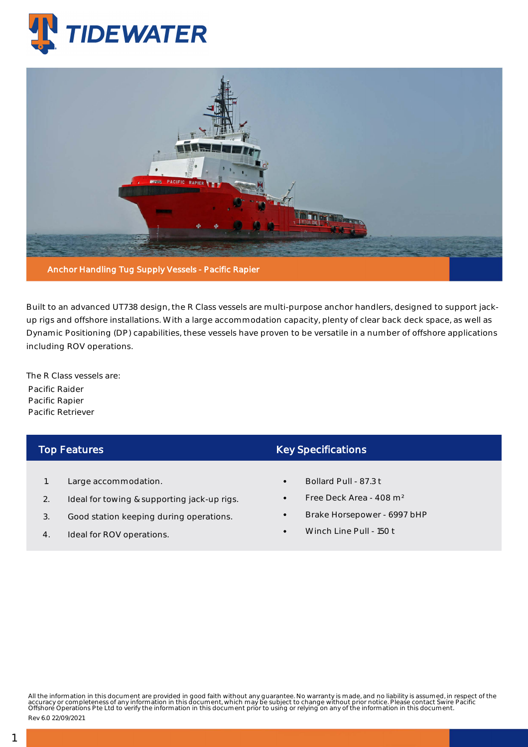



Built to an advanced UT738 design, the R Class vessels are multi-purpose anchor handlers, designed to support jackup rigs and offshore installations. With a large accommodation capacity, plenty of clear back deck space, as well as Dynamic Positioning (DP) capabilities, these vessels have proven to be versatile in a number of offshore applications including ROV operations.

The R Class vessels are: Pacific Raider Pacific Rapier Pacific Retriever

## Top Features

- 1. Large accommodation.
- 2. Ideal for towing & supporting jack-up rigs.
- 3. Good station keeping during operations.
- 4. Ideal for ROV operations.

## Key Specifications

- Bollard Pull 87.3 t
- Free Deck Area 408 m²
- Brake Horsepower 6997 bHP
- Winch Line Pull 150 t

All the information in this document are provided in good faith without any guarantee. No warranty is made, and no liability is assumed, in respect of the<br>accuracy or completeness of any information in this document, which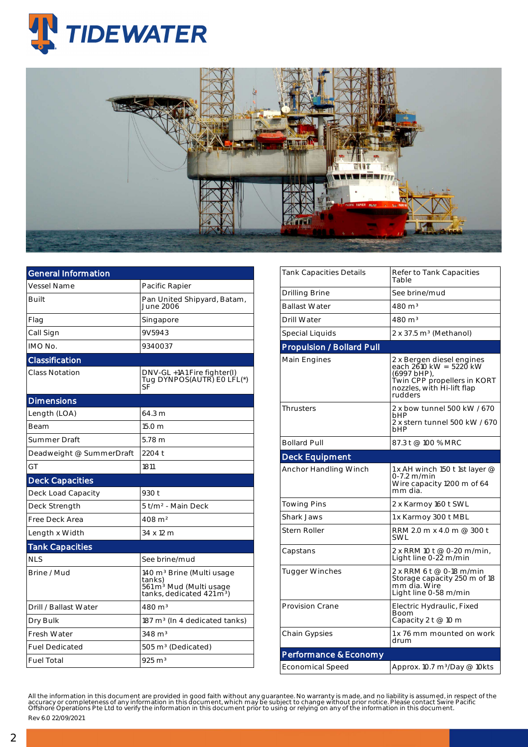



| <b>General Information</b> |                                                                                                                                 |  |  |  |  |
|----------------------------|---------------------------------------------------------------------------------------------------------------------------------|--|--|--|--|
| <b>Vessel Name</b>         | Pacific Rapier                                                                                                                  |  |  |  |  |
| Built                      | Pan United Shipyard, Batam,<br>June 2006                                                                                        |  |  |  |  |
| Flag                       | Singapore                                                                                                                       |  |  |  |  |
| Call Sign                  | 9V5943                                                                                                                          |  |  |  |  |
| IMO No.                    | 9340037                                                                                                                         |  |  |  |  |
| Classification             |                                                                                                                                 |  |  |  |  |
| <b>Class Notation</b>      | DNV-GL +1A1 Fire fighter(I)<br>Tug DYNPOS(AUTR) EO LFL(*)<br>SF                                                                 |  |  |  |  |
| <b>Dimensions</b>          |                                                                                                                                 |  |  |  |  |
| Length (LOA)               | 64.3 m                                                                                                                          |  |  |  |  |
| Beam                       | 15.0 <sub>m</sub>                                                                                                               |  |  |  |  |
| Summer Draft               | 5.78 <sub>m</sub>                                                                                                               |  |  |  |  |
| Deadweight @ SummerDraft   | 2204 t                                                                                                                          |  |  |  |  |
| GT                         | 1811                                                                                                                            |  |  |  |  |
| <b>Deck Capacities</b>     |                                                                                                                                 |  |  |  |  |
| Deck Load Capacity         | 930 t                                                                                                                           |  |  |  |  |
| Deck Strength              | 5 t/m² - Main Deck                                                                                                              |  |  |  |  |
| Free Deck Area             | 408 m <sup>2</sup>                                                                                                              |  |  |  |  |
| Length x Width             | 34 x 12 m                                                                                                                       |  |  |  |  |
| <b>Tank Capacities</b>     |                                                                                                                                 |  |  |  |  |
| NI S                       | See brine/mud                                                                                                                   |  |  |  |  |
| Brine / Mud                | 140 m <sup>3</sup> Brine (Multi usage<br>tanks)<br>561 m <sup>3</sup> Mud (Multi usage<br>tanks, dedicated 421 m <sup>3</sup> ) |  |  |  |  |
| Drill / Ballast Water      | 480 m <sup>3</sup>                                                                                                              |  |  |  |  |
| Dry Bulk                   | $187 \text{ m}^3$ (In 4 dedicated tanks)                                                                                        |  |  |  |  |
| Fresh Water                | $348 \text{ m}^3$                                                                                                               |  |  |  |  |
| <b>Fuel Dedicated</b>      | 505 m <sup>3</sup> (Dedicated)                                                                                                  |  |  |  |  |
| <b>Fuel Total</b>          | $925 \text{ m}^3$                                                                                                               |  |  |  |  |

| Tank Capacities Details          | Refer to Tank Capacities<br>Table                                                                                                              |  |  |  |
|----------------------------------|------------------------------------------------------------------------------------------------------------------------------------------------|--|--|--|
| Drilling Brine                   | See brine/mud                                                                                                                                  |  |  |  |
| <b>Ballast Water</b>             | 480 m <sup>3</sup>                                                                                                                             |  |  |  |
| <b>Drill Water</b>               | 480 m <sup>3</sup>                                                                                                                             |  |  |  |
| Special Liquids                  | 2 x 37.5 m <sup>3</sup> (Methanol)                                                                                                             |  |  |  |
| <b>Propulsion / Bollard Pull</b> |                                                                                                                                                |  |  |  |
| Main Engines                     | 2 x Bergen diesel engines<br>each $2610$ kW = $5220$ kW<br>(6997 bHP),<br>Twin CPP propellers in KORT<br>nozzles, with Hi-lift flap<br>rudders |  |  |  |
| <b>Thrusters</b>                 | 2 x bow tunnel 500 kW / 670<br>bHP<br>2 x stern tunnel 500 kW / 670<br>hHP                                                                     |  |  |  |
| <b>Bollard Pull</b>              | 87.3 t @ 100 % MRC                                                                                                                             |  |  |  |
| <b>Deck Equipment</b>            |                                                                                                                                                |  |  |  |
| Anchor Handling Winch            | 1 x AH winch 150 t 1st layer @<br>0-7.2 m/min<br>Wire capacity 1200 m of 64<br>mm dia.                                                         |  |  |  |
| <b>Towing Pins</b>               | 2 x Karmoy 160 t SWL                                                                                                                           |  |  |  |
| <b>Shark Jaws</b>                | 1 x Karmoy 300 t MBL                                                                                                                           |  |  |  |
| Stern Roller                     | RRM 2.0 m x 4.0 m @ 300 t<br>SWL                                                                                                               |  |  |  |
| Capstans                         | 2 x RRM 10 t @ 0-20 m/min,<br>Light line 0-22 m/min                                                                                            |  |  |  |
| Tugger Winches                   | 2 x RRM 6 t @ 0-18 m/min<br>Storage capacity 250 m of 18<br>mm dia. Wire<br>Light line 0-58 m/min                                              |  |  |  |
| <b>Provision Crane</b>           | Electric Hydraulic, Fixed<br>Boom                                                                                                              |  |  |  |
|                                  | Capacity 2 t @ 10 m                                                                                                                            |  |  |  |
| Chain Gypsies                    | 1 x 76 mm mounted on work<br>drum                                                                                                              |  |  |  |
| Performance & Economy            |                                                                                                                                                |  |  |  |

All the information in this document are provided in good faith without any guarantee. No warranty is made, and no liability is assumed, in respect of the<br>accuracy or completeness of any information in this document, which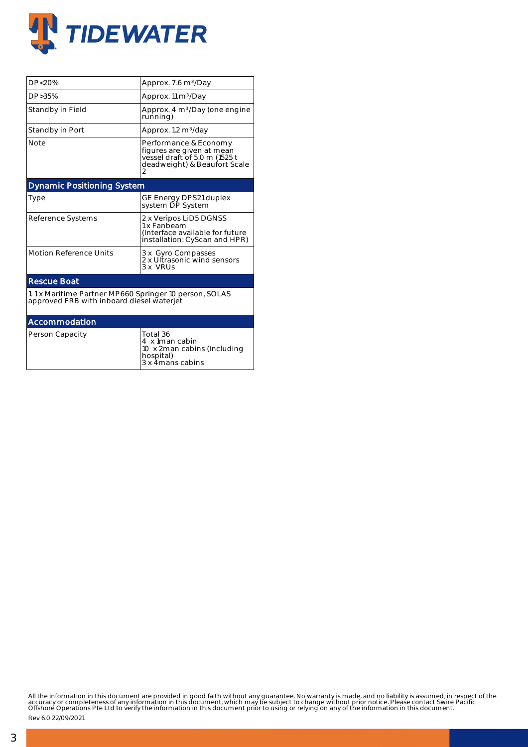

| DP<20%                                                                                              | Approx. 7.6 m <sup>3</sup> /Day                                                                                     |  |  |  |  |  |
|-----------------------------------------------------------------------------------------------------|---------------------------------------------------------------------------------------------------------------------|--|--|--|--|--|
| DP > 35%                                                                                            | Approx. 11 m <sup>3</sup> /Day                                                                                      |  |  |  |  |  |
| Standby in Field                                                                                    | Approx. 4 m <sup>3</sup> /Day (one engine<br>running)                                                               |  |  |  |  |  |
| Standby in Port                                                                                     | Approx. 1.2 m <sup>3</sup> /day                                                                                     |  |  |  |  |  |
| <b>Note</b>                                                                                         | Performance & Economy<br>figures are given at mean<br>vessel draft of 5.0 m (1525 t<br>deadweight) & Beaufort Scale |  |  |  |  |  |
| <b>Dynamic Positioning System</b>                                                                   |                                                                                                                     |  |  |  |  |  |
| Type                                                                                                | GE Energy DPS21 duplex<br>system DP System                                                                          |  |  |  |  |  |
| Reference Systems                                                                                   | 2 x Veripos LiD5 DGNSS<br>1 x Fanbeam<br>(Interface available for future<br>installation: CyScan and HPR)           |  |  |  |  |  |
| <b>Motion Reference Units</b>                                                                       | 3 x Gyro Compasses<br>2 x Ultrasonic wind sensors<br>3 x VRUs                                                       |  |  |  |  |  |
| <b>Rescue Boat</b>                                                                                  |                                                                                                                     |  |  |  |  |  |
| 1.1 x Maritime Partner MP660 Springer 10 person, SOLAS<br>approved FRB with inboard diesel waterjet |                                                                                                                     |  |  |  |  |  |
| Accommodation                                                                                       |                                                                                                                     |  |  |  |  |  |
| Person Capacity                                                                                     | Total 36<br>4 x 1man cabin<br>10 x 2man cabins (Including<br>hospital)<br>3 x 4mans cabins                          |  |  |  |  |  |

All the information in this document are provided in good faith without any guarantee. No warranty is made, and no liability is assumed, in respect of the<br>accuracy or completeness of any information in this document, which